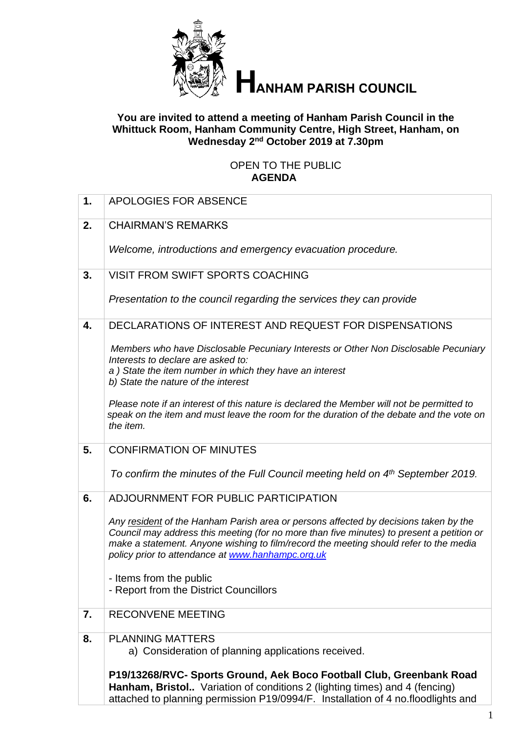

# **ANHAM PARISH COUNCIL**

#### **You are invited to attend a meeting of Hanham Parish Council in the Whittuck Room, Hanham Community Centre, High Street, Hanham, on Wednesday 2 nd October 2019 at 7.30pm**

#### OPEN TO THE PUBLIC **AGENDA**

| 1. | <b>APOLOGIES FOR ABSENCE</b>                                                                                                                                                                                                                                                                                                    |
|----|---------------------------------------------------------------------------------------------------------------------------------------------------------------------------------------------------------------------------------------------------------------------------------------------------------------------------------|
| 2. | <b>CHAIRMAN'S REMARKS</b>                                                                                                                                                                                                                                                                                                       |
|    | Welcome, introductions and emergency evacuation procedure.                                                                                                                                                                                                                                                                      |
| 3. | <b>VISIT FROM SWIFT SPORTS COACHING</b>                                                                                                                                                                                                                                                                                         |
|    | Presentation to the council regarding the services they can provide                                                                                                                                                                                                                                                             |
| 4. | DECLARATIONS OF INTEREST AND REQUEST FOR DISPENSATIONS                                                                                                                                                                                                                                                                          |
|    | Members who have Disclosable Pecuniary Interests or Other Non Disclosable Pecuniary<br>Interests to declare are asked to:<br>a) State the item number in which they have an interest<br>b) State the nature of the interest                                                                                                     |
|    | Please note if an interest of this nature is declared the Member will not be permitted to<br>speak on the item and must leave the room for the duration of the debate and the vote on<br>the item.                                                                                                                              |
| 5. | <b>CONFIRMATION OF MINUTES</b>                                                                                                                                                                                                                                                                                                  |
|    | To confirm the minutes of the Full Council meeting held on 4 <sup>th</sup> September 2019.                                                                                                                                                                                                                                      |
| 6. | ADJOURNMENT FOR PUBLIC PARTICIPATION                                                                                                                                                                                                                                                                                            |
|    | Any resident of the Hanham Parish area or persons affected by decisions taken by the<br>Council may address this meeting (for no more than five minutes) to present a petition or<br>make a statement. Anyone wishing to film/record the meeting should refer to the media<br>policy prior to attendance at www.hanhampc.org.uk |
|    | - Items from the public<br>- Report from the District Councillors                                                                                                                                                                                                                                                               |
| 7. | <b>RECONVENE MEETING</b>                                                                                                                                                                                                                                                                                                        |
| 8. | <b>PLANNING MATTERS</b><br>a) Consideration of planning applications received.                                                                                                                                                                                                                                                  |
|    | P19/13268/RVC- Sports Ground, Aek Boco Football Club, Greenbank Road<br>Hanham, Bristol Variation of conditions 2 (lighting times) and 4 (fencing)<br>attached to planning permission P19/0994/F. Installation of 4 no.floodlights and                                                                                          |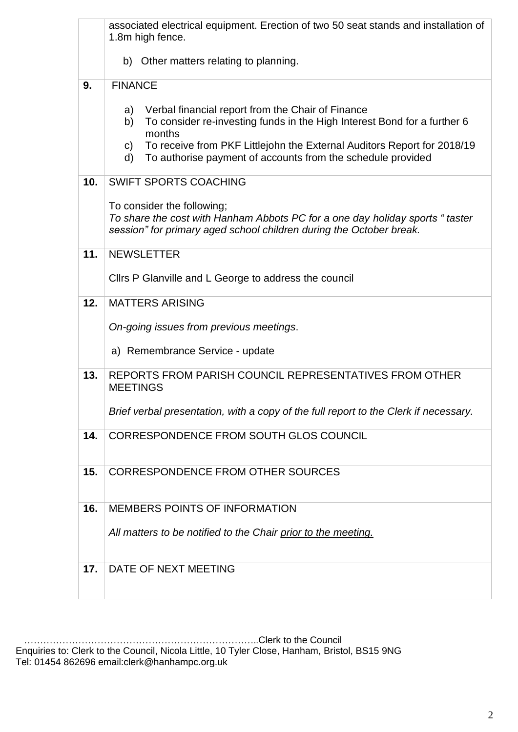|     | associated electrical equipment. Erection of two 50 seat stands and installation of<br>1.8m high fence.                                                                                                                                                                                                               |  |  |
|-----|-----------------------------------------------------------------------------------------------------------------------------------------------------------------------------------------------------------------------------------------------------------------------------------------------------------------------|--|--|
|     | b) Other matters relating to planning.                                                                                                                                                                                                                                                                                |  |  |
| 9.  | <b>FINANCE</b>                                                                                                                                                                                                                                                                                                        |  |  |
|     | Verbal financial report from the Chair of Finance<br>a)<br>To consider re-investing funds in the High Interest Bond for a further 6<br>b)<br>months<br>To receive from PKF Littlejohn the External Auditors Report for 2018/19<br>$\mathsf{C}$ )<br>To authorise payment of accounts from the schedule provided<br>d) |  |  |
| 10. | <b>SWIFT SPORTS COACHING</b>                                                                                                                                                                                                                                                                                          |  |  |
|     |                                                                                                                                                                                                                                                                                                                       |  |  |
|     | To consider the following:<br>To share the cost with Hanham Abbots PC for a one day holiday sports "taster<br>session" for primary aged school children during the October break.                                                                                                                                     |  |  |
| 11. | <b>NEWSLETTER</b>                                                                                                                                                                                                                                                                                                     |  |  |
|     | Cllrs P Glanville and L George to address the council                                                                                                                                                                                                                                                                 |  |  |
| 12. | <b>MATTERS ARISING</b>                                                                                                                                                                                                                                                                                                |  |  |
|     | On-going issues from previous meetings.                                                                                                                                                                                                                                                                               |  |  |
|     | a) Remembrance Service - update                                                                                                                                                                                                                                                                                       |  |  |
| 13. | REPORTS FROM PARISH COUNCIL REPRESENTATIVES FROM OTHER<br><b>MEETINGS</b>                                                                                                                                                                                                                                             |  |  |
|     |                                                                                                                                                                                                                                                                                                                       |  |  |
|     | Brief verbal presentation, with a copy of the full report to the Clerk if necessary.                                                                                                                                                                                                                                  |  |  |
| 14. | CORRESPONDENCE FROM SOUTH GLOS COUNCIL                                                                                                                                                                                                                                                                                |  |  |
| 15. | <b>CORRESPONDENCE FROM OTHER SOURCES</b>                                                                                                                                                                                                                                                                              |  |  |
|     |                                                                                                                                                                                                                                                                                                                       |  |  |
| 16. | <b>MEMBERS POINTS OF INFORMATION</b>                                                                                                                                                                                                                                                                                  |  |  |
|     | All matters to be notified to the Chair prior to the meeting.                                                                                                                                                                                                                                                         |  |  |
|     |                                                                                                                                                                                                                                                                                                                       |  |  |
| 17. | DATE OF NEXT MEETING                                                                                                                                                                                                                                                                                                  |  |  |
|     |                                                                                                                                                                                                                                                                                                                       |  |  |